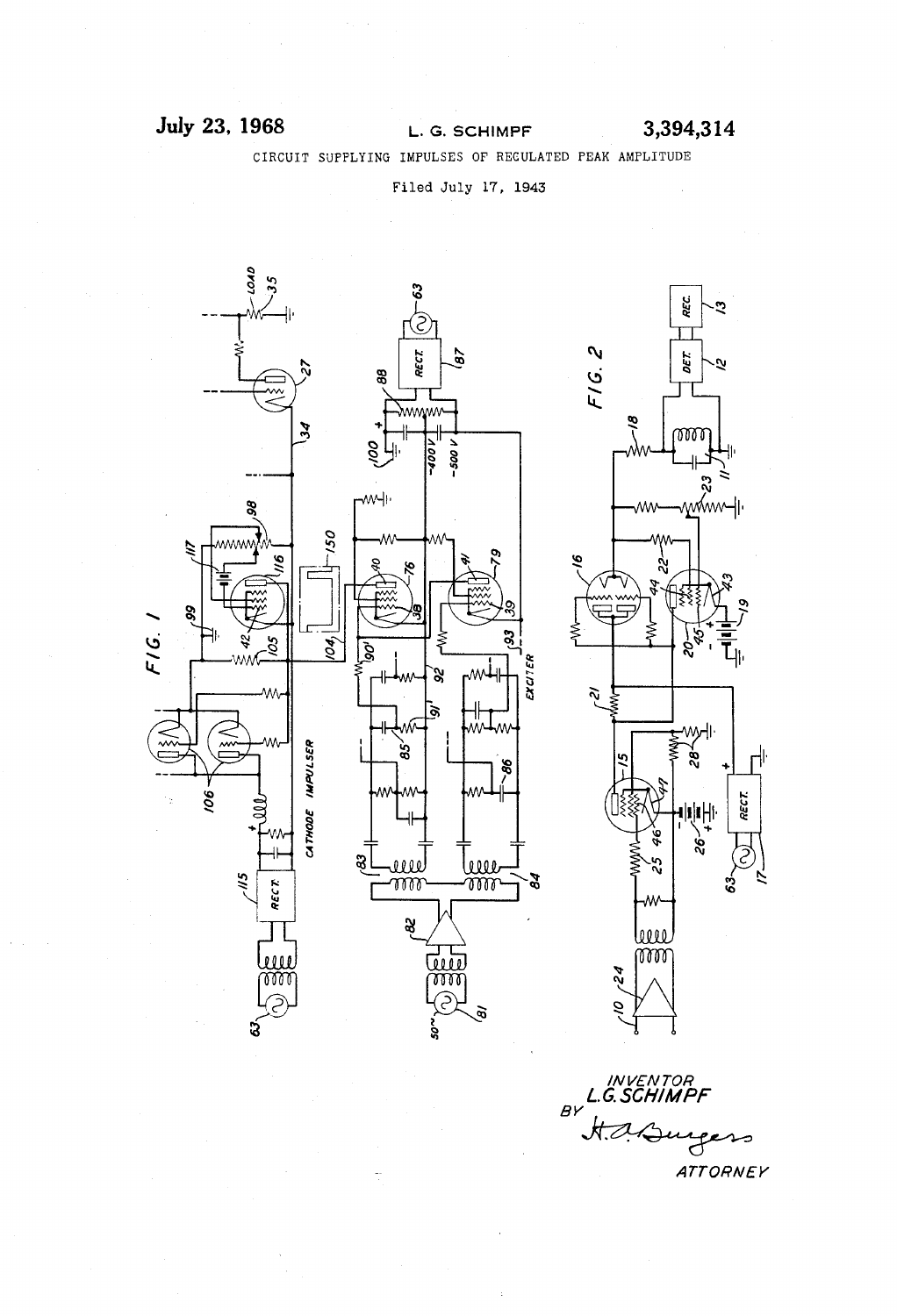## **July 23. 1968** L. G. SCHIMPF 3,394,314

CIRCUIT SUPPLYING IMPULSES OF' REGULATED PEAK AMPLITUDE

Filed July 17, 1943



//v VEN TOR L. G. SCH/MPF  $B<sup>V</sup>$ سەم  $\mathcal{F}$ **ATTORNEY**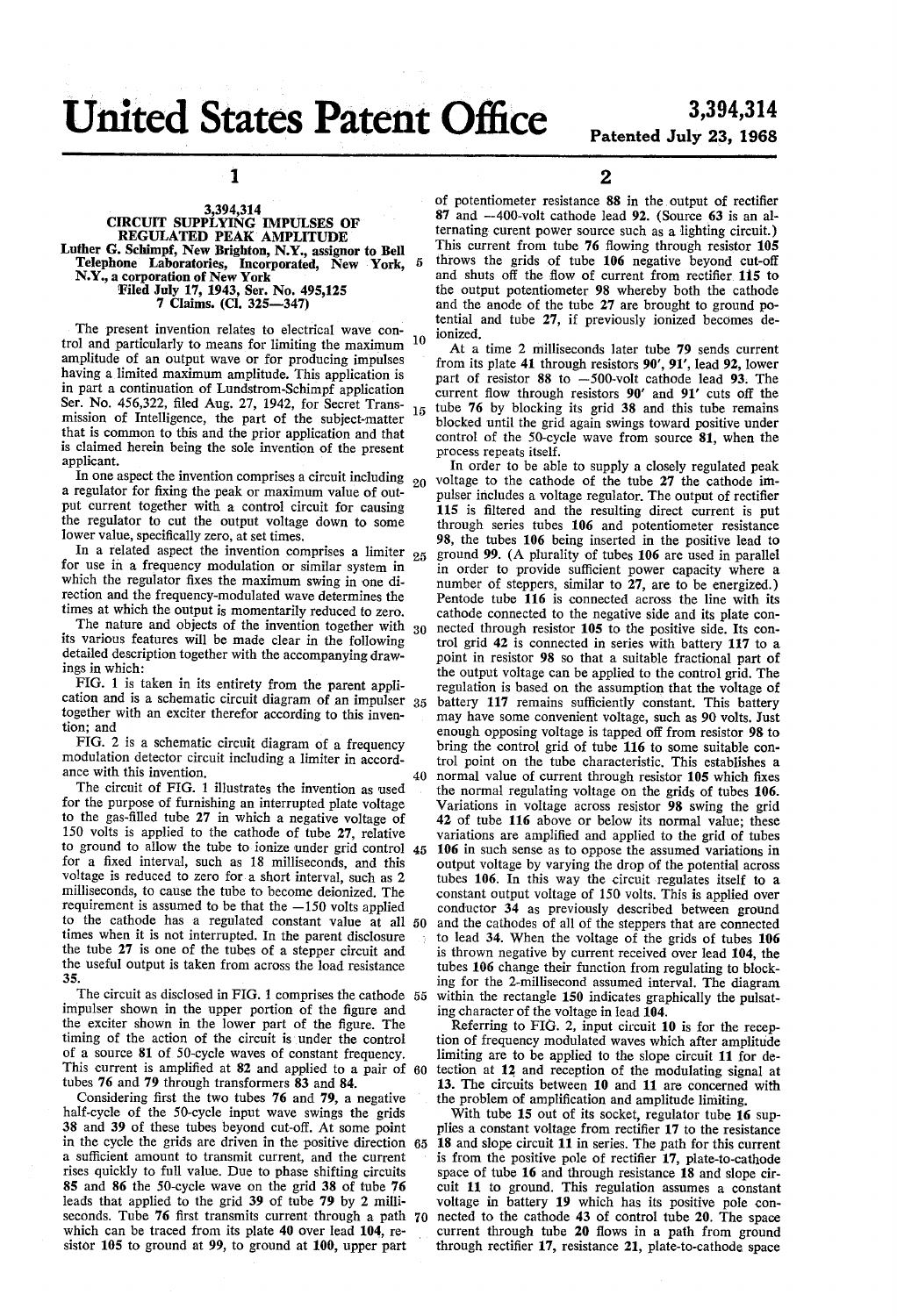# United States Patent Office 3,394,314

# Patented July 23, 1968

1

### 3,394,314 CIRCUIT SUPPLYING IMPULSES 0F REGULATED PEAK' AMPLITUDE Luther G. Schimpf, New Brighton, N.Y., assignor to Bell Telephone Laboratories, Incorporated, New York, N.Y., a corporation of New York Filed July 17, 1943, Ser. No. 495,125 7 Claims. (Cl. 325-347)

The present invention relates to electrical wave con 10 trol and particularly to means for limiting the maximum amplitude of an output wave or for producing impulses having a limited maximum amplitude. This application is in part a continuation of Lundstrom-Schimpf application Ser. No. 456,322, filed Aug. 27, 1942, for Secret Trans- $15$ mission of Intelligence, the part of the subject-matter that is common to this and the prior application and that is claimed herein being the sole invention of the present applicant.

In one aspect the invention comprises a circuit including  $_{20}$ a regulator for fixing the peak or maximum value of output current together with a control circuit for causing the regulator to cut the output voltage down to some lower value, specifically zero, at set times.

In a related aspect the invention comprises a limiter  $_{25}$ for use in a frequency modulation or similar system in which the regulator fixes the maximum swing in one direction and the frequency-modulated wave determines the times at which the output is momentarily reduced to zero.

times at which the output is momentarily reduced to zero.<br>The nature and objects of the invention together with  $30$ its various features will be made clear in the following detailed description together with the accompanying drawings in which:

FIG. 1 is taken in its entirety from the parent appli cation and is a schematic circuit diagram of an impulser 35 together with an exciter therefor according to this inven tion; and

FIG. 2 is a schematic circuit diagram of a frequency modulation detector circuit including a limiter in accord ance with this invention.

40

The circuit of FIG. 1 illustrates the invention as used for the purpose of furnishing an interrupted plate voltage to the gas-filled tube 27 in which a negative voltage of 150 volts is applied to the cathode of tube 27, relative to ground to allow the tube to ionize under grid control 45 for a fixed interval, such as 18 milliseconds, and this voltage is reduced to zero for a short interval, such as 2 milliseconds, to cause the tube to become deionized. The requirement is assumed to be that the  $-150$  volts applied to the cathode has a regulated constant value at all 50 times when it is not interrupted. In the parent disclosure the tube 27 is one of the tubes of a stepper circuit and the useful output is taken from across the load resistance 35.

The circuit as disclosed in FIG. 1 comprises the cathode 55 impulser shown in the upper portion of the figure and the exciter shown in the lower part of the figure. The timing of the action of the circuit is under the control of a source 81 of SO-cycle waves of constant frequency. This current is amplified at  $82$  and applied to a pair of  $60$ tubes 76 and 79 through transformers 83 and 84.

Considering first the two tubes  $76$  and  $79$ , a negative half-cycle of the SO-cycle input wave swings the grids 38 and 39 of these tubes beyond cut-off. At some point a sufficient amount to transmit current, and the current rises quickly to full value. Due to phase shifting circuits 85 and 86 the SO-cycle wave on the grid 38 of tube 76 leads that applied to the grid 39 of tube 79 by 2 milli seconds. Tube 76 first transmits current through a path 70 which can be traced from its plate 40 over lead 104, re sistor 105 to ground at 99, to ground at 100, upper part in the cycle the grids are driven in the positive direction 65

2

of potentiometer resistance 88 in the output of rectifier  $87$  and  $-400$ -volt cathode lead  $92$ . (Source  $63$  is an alternating curent power source such as a lighting circuit.) This current from tube 76 flowing through resistor 105 throws the grids of tube 106 negative beyond cut-off and shuts off the flow of current from rectifier 115 to the output potentiometer 98 whereby both the cathode and the anode of the tube 27 are brought to ground po tential and tube 27, it previously ionized becomes de ionized.

At a time 2 milliseconds later tube 79 sends current from its plate 41 through resistors 90', 91', lead 92, lower part of resistor 88 to —500-volt cathode lead 93. The current flow through resistors 90' and 91' cuts off the tube 76 by blocking its grid 38 and this tube remains blocked until the grid again swings toward positive under control of the SO-cycle wave from source 81, when the process repeats itself.

In order to be able to supply a closely regulated peak voltage to the cathode of the tube 27 the cathode im pulser includes a voltage regulator. The output of rectifier 115 is filtered and the resulting direct current is put through series tubes 106 and potentiometer resistance 98, the tubes 106 being inserted in the positive lead to ground 99. (A plurality of tubes 106 are used in parallel in order to provide sufficient power capacity where a number of steppers, similar to 27, are to be energized.) Pentode tube 116 is connected across the line with its cathode connected to the negative side and its plate connected through resistor 105 to the positive side. Its control grid 42 is connected in series with battery 117 to a point in resistor 98 so that a suitable fractional part of the output voltage can be applied to the control grid. The regulation is based on the assumption that the voltage of battery 117 remains sufficiently constant. This battery may have some convenient voltage, such as 90 volts. Just enough opposing voltage is tapped off from resistor 98 to bring the control grid of tube 116 to some suitable con trol point on the tube characteristic. This establishes a normal value of current through resistor 105 which fixes the normal regulating voltage on the grids of tubes 106. Variations in voltage across resistor 98 swing the grid 42 of tube 116 above or below its normal value; these variations are amplified and applied to the grid of tubes 106 in such sense as to oppose the assumed variations in output voltage by varying the drop of the potential across tubes 106. In this way the circuit regulates itself to a constant output voltage of 150 volts. This is applied over conductor 34 as previously described between ground and the cathodes of all of the steppers that are connected to lead 34. When the voltage of the grids of tubes 106 is thrown negative by current received over lead 104, the tubes 106 change their function from regulating to block ing for the 2-millisecond assumed interval. The diagram within the rectangle 150 indicates graphically the pulsating character of the voltage in lead 104.

Referring to FIG. 2, input circuit 10 is for the recep tion of frequency modulated waves which after amplitude limiting are to be applied to the slope circuit 11 for de tection at 12\_ and reception of the modulating signal at 13. The circuits between 10 and 11 are concerned with the problem of amplification and amplitude limiting.

With tube 15 out of its socket, regulator tube 16 supplies a constant voltage from rectifier 17 to the resistance 18 and slope circuit 11 in series. The path for this current is from the positive pole of rectifier 17, plate-to-cathode space of tube 16 and through resistance 18 and slope cir cuit 11 to ground. This regulation assumes a constant voltage in battery 19 which has its positive pole connected to the cathode 43 of control tube 20. The space current through tube 20 flows in a path from ground through rectifier 17, resistance 21, plate-to-cathode space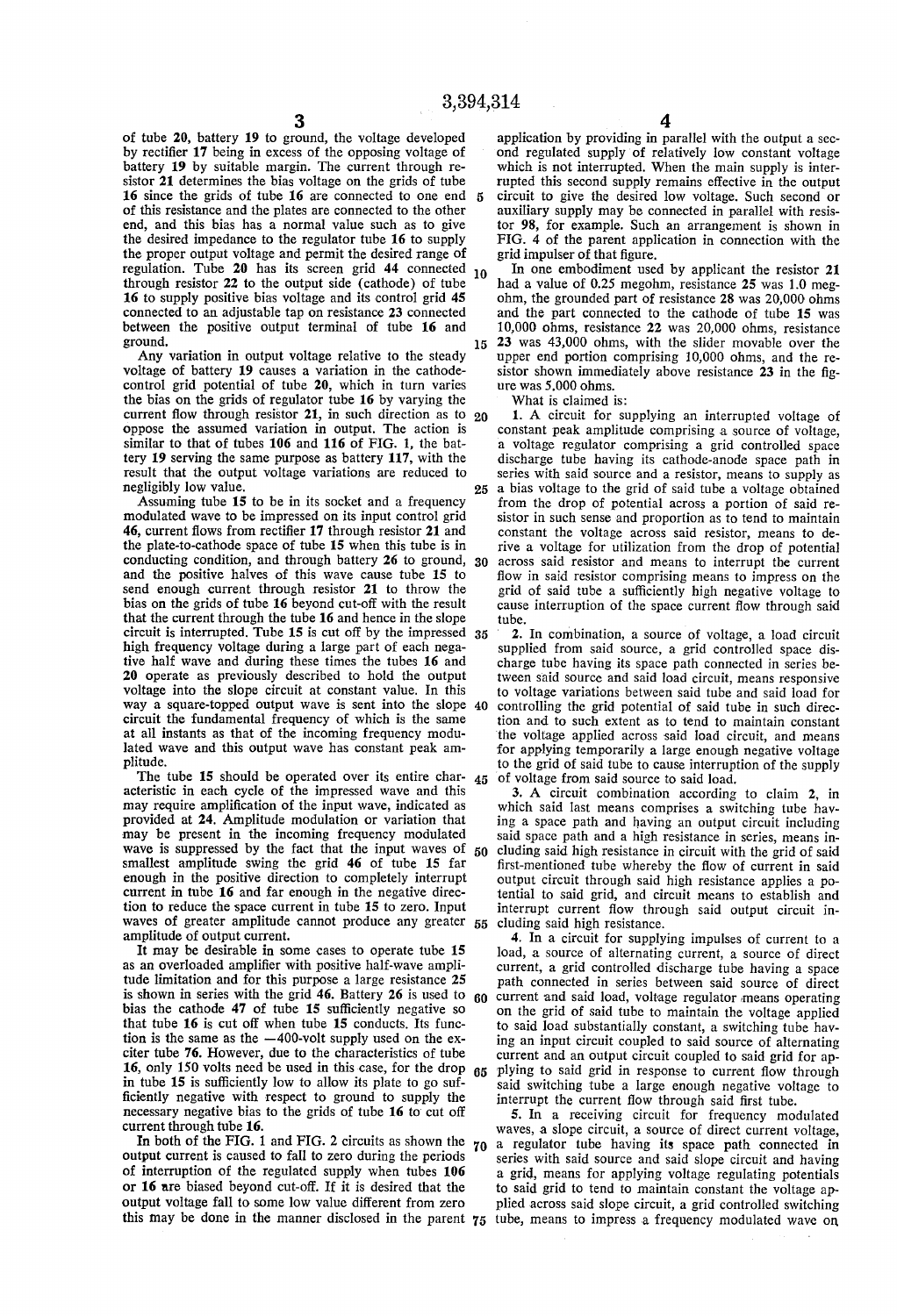of tube 20, battery 19 to ground, the voltage developed by rectifier 17 being in excess of the opposing voltage of battery 19 by suitable margin. The current through resistor 21 determines the bias voltage on the grids of tube 16 since the grids of tube 16 are connected to one end 5 of this resistance and the plates are connected to the other end, and this bias has a normal value such as to give the desired impedance to the regulator tube 16 to supply the proper output voltage and permit the desired range of regulation. Tube 20 has its screen grid 44 connected 10 through resistor 22 to the output side (cathode) of tube 16 to supply positive bias voltage and its control grid 45 connected to an adjustable tap on resistance 23 connected between the positive output terminal of tube 16 and ground.

Any variation in output voltage relative to the steady voltage of battery 19 causes a variation in the cathode control grid potential of tube 20, which in turn varies the bias on the grids of regulator tube 16 by varying the current flow through resistor 21, in such direction as to  $20$ oppose the assumed variation in output. The action is similar to that of tubes 106 and 116 of FIG. 1, the battery 19 serving the same purpose as battery 117, with the result that the output voltage variations are reduced to negligibly low value.

Assuming tube 15 to be in its socket and a frequency modulated wave to be impressed on its input control grid 46, current flows from rectifier 17 through resistor 21 and the plate-to-cathode space of tube 15 when this tube is in conducting condition, and through battery 26 to ground, and the positive halves of this wave cause tube 15 to send enough current through resistor 21 to throw the bias on the grids of tube 16 beyond cut-off with the result that the current through the tube 16 and hence in the slope circuit is interrupted. Tube 15 is cut off by the impressed high frequency voltage during a large part of each nega tive half wave and during these times the tubes 16 and 20 operate as previously described to hold the output voltage into the slope circuit at constant value. In this way a square-topped output wave is sent into the slope circuit the fundamental frequency of which is the same at all instants as that of the incoming frequency modulated wave and this output wave has constant peak am plitude.

The tube 15 should be operated over its entire char- $45$ acteristic in each cycle of the impressed wave and this provided at 24. Amplitude modulation or variation that may be present in the incoming frequency modulated wave is suppressed by the fact that the input waves of smallest amplitude swing the grid 46 of tube 15 far enough in the positive direction to completely interrupt current in tube 16 and far enough in the negative direc tion to reduce the space current in tube 15 to Zero. Input waves of greater amplitude cannot produce any greater 55 cluding said high resistance. amplitude of output current.

It may be desirable in some cases to operate tube 15 as an overloaded amplifier with positive half-wave amplitude limitation and for this purpose a large resistance 25 is shown in series with the grid 46. Battery 26 is used to bias the cathode 47 of tube 15 sufficiently negative so that tube 16 is cut off when tube 15 conducts. Its func tion is the same as the —400-volt supply used on the ex citer tube 76. However, due to the characteristics of tube 16, only 150 volts need be used in this case, for the drop in tube 15 is sufficiently low to allow its plate to go suf ficiently negative with respect to ground to supply the necessary negative bias to the grids of tube 16 to' cut off current through tube 16. 65

In both of the FIG. 1 and FIG. 2 circuits as shown the  $\gamma_0$ output current is caused to fall to zero during the periods of interruption of the regulated supply when tubes  $106$  or  $16$  are biased beyond cut-off. If it is desired that the output voltage fall to some low value different from zero

 $\frac{4}{4}$  application by providing in parallel with the output a second regulated supply of relatively low constant voltage which is not interrupted. When the main supply is inter rupted this second supply remains effective in the output circuit to give the desired low voltage. Such second or auxiliary supply may be connected in parallel with resis tor 98, for example. Such an arrangement is shown in FIG. 4 of the parent application in connection with the grid impulser of that figure.

In one embodiment used by applicant the resistor 21 had a value of 0.25 megohm, resistance 25 was 1.0 meg ohm, the grounded part of resistance 28 was 20,000 ohms and the part connected to the cathode of tube 15 was 10,000 ohms, resistance 22 was 20,000 ohms, resistance

15 23 was 43,000 ohms, with the slider movable over the sistor shown immediately above resistance 23 in the figure was  $5.000$  ohms.

What is claimed is:

1. A circuit for supplying an interrupted voltage of constant peak amplitude comprising a source of voltage. a voltage regulator comprising a grid controlled space discharge tube having its cathode-anode space path in series with said source and a resistor, means to supply as

25 30 a bias voltage to the grid of said tube a voltage obtained from the drop of potential across a portion of said re sistor in such sense and proportion as to tend to maintain constant the voltage across said resistor, means to de rive a voltage for utilization from the drop of potential across said resistor and means to interrupt the current flow in said resistor comprising means to impress on the grid of said tube a sufficiently high negative voltage to cause interruption of the space current flow through said tube.

40 2. In combination, a source of voltage, a load circuit supplied from said source, a grid controlled space dis charge tube having its space path connected in series be tween said source and said load circuit, means responsive to voltage variations between said tube and said load for controlling the grid potential of said tube in such direc tion and to such extent as to tend to maintain constant 'the voltage applied across said load circuit, and means for applying temporarily a large enough negative voltage to the grid of said tube to cause interruption of the supply of voltage from said source to said load.

50 3. A circuit combination according to claim 2, in which said last means comprises a switching tube hav ing a space path and having an output circuit including said space path and a high resistance in series, means in cluding said high resistance in circuit with the grid of said first-mentioned tube whereby the flow of current in said output circuit through said high resistance applies a po tential to said grid, and circuit means to establish and interrupt current flow through said output circuit in

60 current and said load, voltage regulator means operating 4. In a circuit for supplying impulses of current to a load, a source of alternating current, a source of direct current, a grid controlled discharge tube having a space path connected in series between said source of direct on the grid of said tube to maintain the voltage applied to said load substantially constant, a switching tube hav ing an input circuit coupled to said source of alternating current and an output circuit coupled to said grid for ap plying to said grid in response to current flow through said switching tube a large enough negative voltage to interrupt the current flow through said first tube.

this may be done in the manner disclosed in the parent 75 tube, means to impress a frequency modulated wave on 5. In a receiving circuit for frequency modulated waves, a slope circuit, a source of direct current voltage, a regulator tube having its space path connected in series with said source and said slope circuit and having a grid, means for applying voltage regulating potentials to said grid to tend to maintain constant the voltage ap plied across said slope circuit, a grid controlled switching